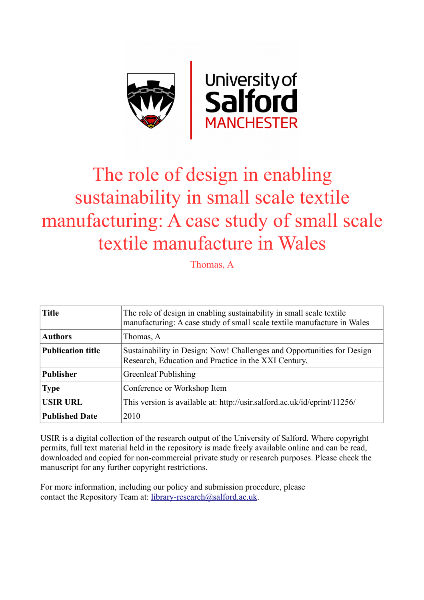

# The role of design in enabling sustainability in small scale textile manufacturing: A case study of small scale textile manufacture in Wales

Thomas, A

| <b>Title</b>             | The role of design in enabling sustainability in small scale textile<br>manufacturing: A case study of small scale textile manufacture in Wales |
|--------------------------|-------------------------------------------------------------------------------------------------------------------------------------------------|
| <b>Authors</b>           | Thomas, A                                                                                                                                       |
| <b>Publication title</b> | Sustainability in Design: Now! Challenges and Opportunities for Design<br>Research, Education and Practice in the XXI Century.                  |
| <b>Publisher</b>         | Greenleaf Publishing                                                                                                                            |
| <b>Type</b>              | Conference or Workshop Item                                                                                                                     |
| <b>USIR URL</b>          | This version is available at: http://usir.salford.ac.uk/id/eprint/11256/                                                                        |
| <b>Published Date</b>    | 2010                                                                                                                                            |

USIR is a digital collection of the research output of the University of Salford. Where copyright permits, full text material held in the repository is made freely available online and can be read, downloaded and copied for non-commercial private study or research purposes. Please check the manuscript for any further copyright restrictions.

For more information, including our policy and submission procedure, please contact the Repository Team at: [library-research@salford.ac.uk.](mailto:library-research@salford.ac.uk)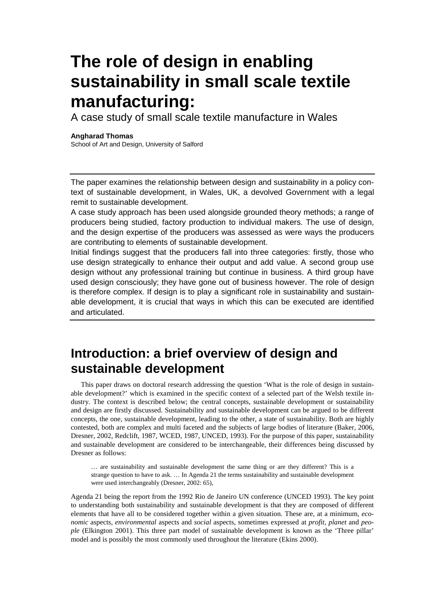A case study of small scale textile manufacture in Wales

### **Angharad Thomas**

School of Art and Design, University of Salford

The paper examines the relationship between design and sustainability in a policy context of sustainable development, in Wales, UK, a devolved Government with a legal remit to sustainable development.

A case study approach has been used alongside grounded theory methods; a range of producers being studied, factory production to individual makers. The use of design, and the design expertise of the producers was assessed as were ways the producers are contributing to elements of sustainable development.

Initial findings suggest that the producers fall into three categories: firstly, those who use design strategically to enhance their output and add value. A second group use design without any professional training but continue in business. A third group have used design consciously; they have gone out of business however. The role of design is therefore complex. If design is to play a significant role in sustainability and sustainable development, it is crucial that ways in which this can be executed are identified and articulated.

## **Introduction: a brief overview of design and sustainable development**

This paper draws on doctoral research addressing the question 'What is the role of design in sustainable development?' which is examined in the specific context of a selected part of the Welsh textile industry. The context is described below; the central concepts, sustainable development or sustainability and design are firstly discussed. Sustainability and sustainable development can be argued to be different concepts, the one, sustainable development, leading to the other, a state of sustainability. Both are highly contested, both are complex and multi faceted and the subjects of large bodies of literature (Baker, 2006, Dresner, 2002, Redclift, 1987, WCED, 1987, UNCED, 1993). For the purpose of this paper, sustainability and sustainable development are considered to be interchangeable, their differences being discussed by Dresner as follows:

… are sustainability and sustainable development the same thing or are they different? This is a strange question to have to ask. … In Agenda 21 the terms sustainability and sustainable development were used interchangeably (Dresner, 2002: 65),

Agenda 21 being the report from the 1992 Rio de Janeiro UN conference (UNCED 1993). The key point to understanding both sustainability and sustainable development is that they are composed of different elements that have all to be considered together within a given situation. These are, at a minimum, *economic* aspects, *environmental* aspects and *social* aspects, sometimes expressed at *profit*, *planet* and *people* (Elkington 2001). This three part model of sustainable development is known as the 'Three pillar' model and is possibly the most commonly used throughout the literature (Ekins 2000).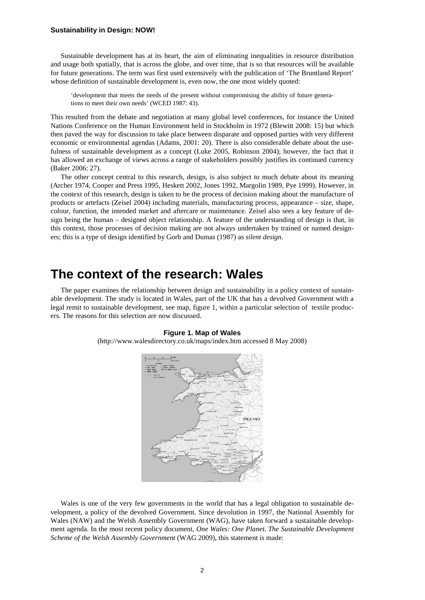#### **Sustainability in Design: NOW!**

Sustainable development has at its heart, the aim of eliminating inequalities in resource distribution and usage both spatially, that is across the globe, and over time, that is so that resources will be available for future generations. The term was first used extensively with the publication of 'The Bruntland Report' whose definition of sustainable development is, even now, the one most widely quoted:

'development that meets the needs of the present without compromising the ability of future generations to meet their own needs' (WCED 1987: 43).

This resulted from the debate and negotiation at many global level conferences, for instance the United Nations Conference on the Human Environment held in Stockholm in 1972 (Blewitt 2008: 15) but which then paved the way for discussion to take place between disparate and opposed parties with very different economic or environmental agendas (Adams, 2001: 20). There is also considerable debate about the usefulness of sustainable development as a concept (Luke 2005, Robinson 2004); however, the fact that it has allowed an exchange of views across a range of stakeholders possibly justifies its continued currency (Baker 2006: 27).

The other concept central to this research, design, is also subject to much debate about its meaning (Archer 1974, Cooper and Press 1995, Heskett 2002, Jones 1992, Margolin 1989, Pye 1999). However, in the context of this research, design is taken to be the process of decision making about the manufacture of products or artefacts (Zeisel 2004) including materials, manufacturing process, appearance – size, shape, colour, function, the intended market and aftercare or maintenance. Zeisel also sees a key feature of design being the human – designed object relationship. A feature of the understanding of design is that, in this context, those processes of decision making are not always undertaken by trained or named designers; this is a type of design identified by Gorb and Dumas (1987) as *silent design*.

### **The context of the research: Wales**

The paper examines the relationship between design and sustainability in a policy context of sustainable development. The study is located in Wales, part of the UK that has a devolved Government with a legal remit to sustainable development, see map, figure 1, within a particular selection of textile producers. The reasons for this selection are now discussed.

#### **Figure 1. Map of Wales**

(http://www.walesdirectory.co.uk/maps/index.htm accessed 8 May 2008)



Wales is one of the very few governments in the world that has a legal obligation to sustainable development, a policy of the devolved Government. Since devolution in 1997, the National Assembly for Wales (NAW) and the Welsh Assembly Government (WAG), have taken forward a sustainable development agenda. In the most recent policy document, *One Wales: One Planet. The Sustainable Development Scheme of the Welsh Assembly Government* (WAG 2009), this statement is made: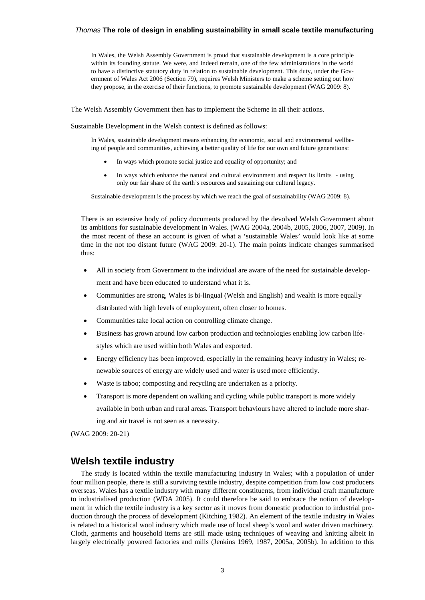In Wales, the Welsh Assembly Government is proud that sustainable development is a core principle within its founding statute. We were, and indeed remain, one of the few administrations in the world to have a distinctive statutory duty in relation to sustainable development. This duty, under the Government of Wales Act 2006 (Section 79), requires Welsh Ministers to make a scheme setting out how they propose, in the exercise of their functions, to promote sustainable development (WAG 2009: 8).

The Welsh Assembly Government then has to implement the Scheme in all their actions.

Sustainable Development in the Welsh context is defined as follows:

In Wales, sustainable development means enhancing the economic, social and environmental wellbeing of people and communities, achieving a better quality of life for our own and future generations:

- In ways which promote social justice and equality of opportunity; and
- In ways which enhance the natural and cultural environment and respect its limits using only our fair share of the earth's resources and sustaining our cultural legacy.

Sustainable development is the process by which we reach the goal of sustainability (WAG 2009: 8).

There is an extensive body of policy documents produced by the devolved Welsh Government about its ambitions for sustainable development in Wales. (WAG 2004a, 2004b, 2005, 2006, 2007, 2009). In the most recent of these an account is given of what a 'sustainable Wales' would look like at some time in the not too distant future (WAG 2009: 20-1). The main points indicate changes summarised thus:

- All in society from Government to the individual are aware of the need for sustainable development and have been educated to understand what it is.
- Communities are strong, Wales is bi-lingual (Welsh and English) and wealth is more equally distributed with high levels of employment, often closer to homes.
- Communities take local action on controlling climate change.
- Business has grown around low carbon production and technologies enabling low carbon lifestyles which are used within both Wales and exported.
- Energy efficiency has been improved, especially in the remaining heavy industry in Wales; renewable sources of energy are widely used and water is used more efficiently.
- Waste is taboo; composting and recycling are undertaken as a priority.
- Transport is more dependent on walking and cycling while public transport is more widely available in both urban and rural areas. Transport behaviours have altered to include more sharing and air travel is not seen as a necessity.

(WAG 2009: 20-21)

### **Welsh textile industry**

The study is located within the textile manufacturing industry in Wales; with a population of under four million people, there is still a surviving textile industry, despite competition from low cost producers overseas. Wales has a textile industry with many different constituents, from individual craft manufacture to industrialised production (WDA 2005). It could therefore be said to embrace the notion of development in which the textile industry is a key sector as it moves from domestic production to industrial production through the process of development (Kitching 1982). An element of the textile industry in Wales is related to a historical wool industry which made use of local sheep's wool and water driven machinery. Cloth, garments and household items are still made using techniques of weaving and knitting albeit in largely electrically powered factories and mills (Jenkins 1969, 1987, 2005a, 2005b). In addition to this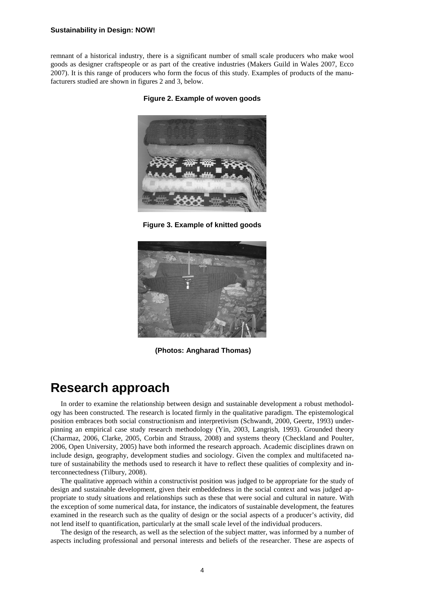#### **Sustainability in Design: NOW!**

remnant of a historical industry, there is a significant number of small scale producers who make wool goods as designer craftspeople or as part of the creative industries (Makers Guild in Wales 2007, Ecco 2007). It is this range of producers who form the focus of this study. Examples of products of the manufacturers studied are shown in figures 2 and 3, below.

**Figure 2. Example of woven goods**



**Figure 3. Example of knitted goods**



**(Photos: Angharad Thomas)**

### **Research approach**

In order to examine the relationship between design and sustainable development a robust methodology has been constructed. The research is located firmly in the qualitative paradigm. The epistemological position embraces both social constructionism and interpretivism (Schwandt, 2000, Geertz, 1993) underpinning an empirical case study research methodology (Yin, 2003, Langrish, 1993). Grounded theory (Charmaz, 2006, Clarke, 2005, Corbin and Strauss, 2008) and systems theory (Checkland and Poulter, 2006, Open University, 2005) have both informed the research approach. Academic disciplines drawn on include design, geography, development studies and sociology. Given the complex and multifaceted nature of sustainability the methods used to research it have to reflect these qualities of complexity and interconnectedness (Tilbury, 2008).

The qualitative approach within a constructivist position was judged to be appropriate for the study of design and sustainable development, given their embeddedness in the social context and was judged appropriate to study situations and relationships such as these that were social and cultural in nature. With the exception of some numerical data, for instance, the indicators of sustainable development, the features examined in the research such as the quality of design or the social aspects of a producer's activity, did not lend itself to quantification, particularly at the small scale level of the individual producers.

The design of the research, as well as the selection of the subject matter, was informed by a number of aspects including professional and personal interests and beliefs of the researcher. These are aspects of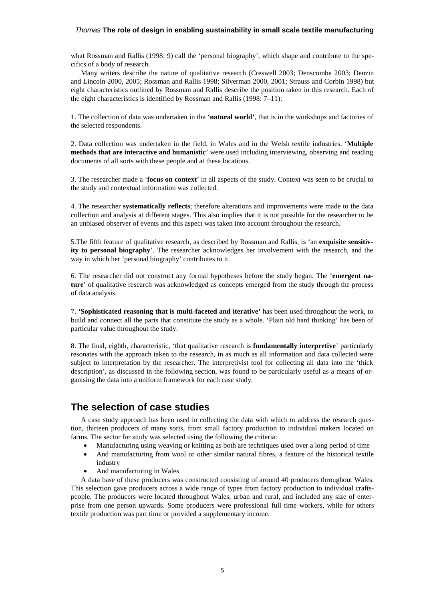what Rossman and Rallis (1998: 9) call the 'personal biography', which shape and contribute to the specifics of a body of research.

Many writers describe the nature of qualitative research (Creswell 2003; Denscombe 2003; Denzin and Lincoln 2000, 2005; Rossman and Rallis 1998; Silverman 2000, 2001; Strauss and Corbin 1998) but eight characteristics outlined by Rossman and Rallis describe the position taken in this research. Each of the eight characteristics is identified by Rossman and Rallis (1998: 7–11):

1. The collection of data was undertaken in the '**natural world'**, that is in the workshops and factories of the selected respondents.

2. Data collection was undertaken in the field, in Wales and in the Welsh textile industries. '**Multiple methods that are interactive and humanistic**' were used including interviewing, observing and reading documents of all sorts with these people and at these locations.

3. The researcher made a '**focus on context**' in all aspects of the study. Context was seen to be crucial to the study and contextual information was collected.

4. The researcher **systematically reflects**; therefore alterations and improvements were made to the data collection and analysis at different stages. This also implies that it is not possible for the researcher to be an unbiased observer of events and this aspect was taken into account throughout the research.

5.The fifth feature of qualitative research, as described by Rossman and Rallis, is 'an **exquisite sensitivity to personal biography**'. The researcher acknowledges her involvement with the research, and the way in which her 'personal biography' contributes to it.

6. The researcher did not construct any formal hypotheses before the study began. The '**emergent nature**' of qualitative research was acknowledged as concepts emerged from the study through the process of data analysis.

7. **'Sophisticated reasoning that is multi-faceted and iterative'** has been used throughout the work, to build and connect all the parts that constitute the study as a whole. 'Plain old hard thinking' has been of particular value throughout the study.

8. The final, eighth, characteristic, 'that qualitative research is **fundamentally interpretive**' particularly resonates with the approach taken to the research, in as much as all information and data collected were subject to interpretation by the researcher. The interpretivist tool for collecting all data into the 'thick description', as discussed in the following section, was found to be particularly useful as a means of organising the data into a uniform framework for each case study.

### **The selection of case studies**

A case study approach has been used in collecting the data with which to address the research question, thirteen producers of many sorts, from small factory production to individual makers located on farms. The sector for study was selected using the following the criteria:

- Manufacturing using weaving or knitting as both are techniques used over a long period of time
- And manufacturing from wool or other similar natural fibres, a feature of the historical textile industry
- And manufacturing in Wales

A data base of these producers was constructed consisting of around 40 producers throughout Wales. This selection gave producers across a wide range of types from factory production to individual craftspeople. The producers were located throughout Wales, urban and rural, and included any size of enterprise from one person upwards. Some producers were professional full time workers, while for others textile production was part time or provided a supplementary income.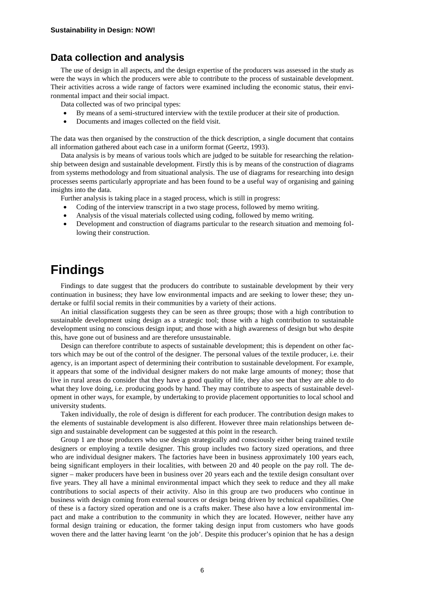### **Data collection and analysis**

The use of design in all aspects, and the design expertise of the producers was assessed in the study as were the ways in which the producers were able to contribute to the process of sustainable development. Their activities across a wide range of factors were examined including the economic status, their environmental impact and their social impact.

Data collected was of two principal types:

- By means of a semi-structured interview with the textile producer at their site of production.
- Documents and images collected on the field visit.

The data was then organised by the construction of the thick description, a single document that contains all information gathered about each case in a uniform format (Geertz, 1993).

Data analysis is by means of various tools which are judged to be suitable for researching the relationship between design and sustainable development. Firstly this is by means of the construction of diagrams from systems methodology and from situational analysis. The use of diagrams for researching into design processes seems particularly appropriate and has been found to be a useful way of organising and gaining insights into the data.

Further analysis is taking place in a staged process, which is still in progress:

- Coding of the interview transcript in a two stage process, followed by memo writing.
- Analysis of the visual materials collected using coding, followed by memo writing.
- Development and construction of diagrams particular to the research situation and memoing following their construction.

### **Findings**

Findings to date suggest that the producers do contribute to sustainable development by their very continuation in business; they have low environmental impacts and are seeking to lower these; they undertake or fulfil social remits in their communities by a variety of their actions.

An initial classification suggests they can be seen as three groups; those with a high contribution to sustainable development using design as a strategic tool; those with a high contribution to sustainable development using no conscious design input; and those with a high awareness of design but who despite this, have gone out of business and are therefore unsustainable.

Design can therefore contribute to aspects of sustainable development; this is dependent on other factors which may be out of the control of the designer. The personal values of the textile producer, i.e. their agency, is an important aspect of determining their contribution to sustainable development. For example, it appears that some of the individual designer makers do not make large amounts of money; those that live in rural areas do consider that they have a good quality of life, they also see that they are able to do what they love doing, i.e. producing goods by hand. They may contribute to aspects of sustainable development in other ways, for example, by undertaking to provide placement opportunities to local school and university students.

Taken individually, the role of design is different for each producer. The contribution design makes to the elements of sustainable development is also different. However three main relationships between design and sustainable development can be suggested at this point in the research.

Group 1 are those producers who use design strategically and consciously either being trained textile designers or employing a textile designer. This group includes two factory sized operations, and three who are individual designer makers. The factories have been in business approximately 100 years each, being significant employers in their localities, with between 20 and 40 people on the pay roll. The designer – maker producers have been in business over 20 years each and the textile design consultant over five years. They all have a minimal environmental impact which they seek to reduce and they all make contributions to social aspects of their activity. Also in this group are two producers who continue in business with design coming from external sources or design being driven by technical capabilities. One of these is a factory sized operation and one is a crafts maker. These also have a low environmental impact and make a contribution to the community in which they are located. However, neither have any formal design training or education, the former taking design input from customers who have goods woven there and the latter having learnt 'on the job'. Despite this producer's opinion that he has a design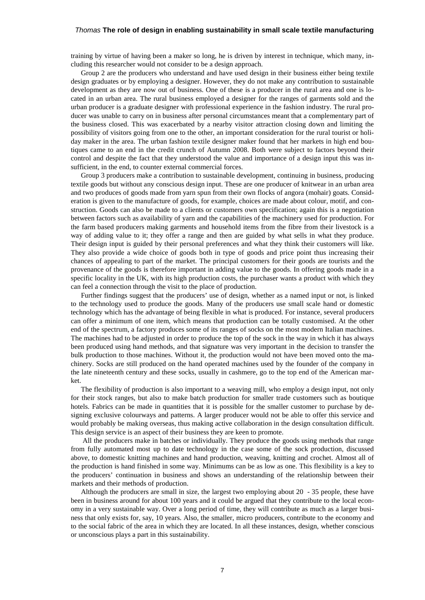training by virtue of having been a maker so long, he is driven by interest in technique, which many, including this researcher would not consider to be a design approach.

Group 2 are the producers who understand and have used design in their business either being textile design graduates or by employing a designer. However, they do not make any contribution to sustainable development as they are now out of business. One of these is a producer in the rural area and one is located in an urban area. The rural business employed a designer for the ranges of garments sold and the urban producer is a graduate designer with professional experience in the fashion industry. The rural producer was unable to carry on in business after personal circumstances meant that a complementary part of the business closed. This was exacerbated by a nearby visitor attraction closing down and limiting the possibility of visitors going from one to the other, an important consideration for the rural tourist or holiday maker in the area. The urban fashion textile designer maker found that her markets in high end boutiques came to an end in the credit crunch of Autumn 2008. Both were subject to factors beyond their control and despite the fact that they understood the value and importance of a design input this was insufficient, in the end, to counter external commercial forces.

Group 3 producers make a contribution to sustainable development, continuing in business, producing textile goods but without any conscious design input. These are one producer of knitwear in an urban area and two produces of goods made from yarn spun from their own flocks of angora (mohair) goats. Consideration is given to the manufacture of goods, for example, choices are made about colour, motif, and construction. Goods can also be made to a clients or customers own specification; again this is a negotiation between factors such as availability of yarn and the capabilities of the machinery used for production. For the farm based producers making garments and household items from the fibre from their livestock is a way of adding value to it; they offer a range and then are guided by what sells in what they produce. Their design input is guided by their personal preferences and what they think their customers will like. They also provide a wide choice of goods both in type of goods and price point thus increasing their chances of appealing to part of the market. The principal customers for their goods are tourists and the provenance of the goods is therefore important in adding value to the goods. In offering goods made in a specific locality in the UK, with its high production costs, the purchaser wants a product with which they can feel a connection through the visit to the place of production.

Further findings suggest that the producers' use of design, whether as a named input or not, is linked to the technology used to produce the goods. Many of the producers use small scale hand or domestic technology which has the advantage of being flexible in what is produced. For instance, several producers can offer a minimum of one item, which means that production can be totally customised. At the other end of the spectrum, a factory produces some of its ranges of socks on the most modern Italian machines. The machines had to be adjusted in order to produce the top of the sock in the way in which it has always been produced using hand methods, and that signature was very important in the decision to transfer the bulk production to those machines. Without it, the production would not have been moved onto the machinery. Socks are still produced on the hand operated machines used by the founder of the company in the late nineteenth century and these socks, usually in cashmere, go to the top end of the American market.

The flexibility of production is also important to a weaving mill, who employ a design input, not only for their stock ranges, but also to make batch production for smaller trade customers such as boutique hotels. Fabrics can be made in quantities that it is possible for the smaller customer to purchase by designing exclusive colourways and patterns. A larger producer would not be able to offer this service and would probably be making overseas, thus making active collaboration in the design consultation difficult. This design service is an aspect of their business they are keen to promote.

All the producers make in batches or individually. They produce the goods using methods that range from fully automated most up to date technology in the case some of the sock production, discussed above, to domestic knitting machines and hand production, weaving, knitting and crochet. Almost all of the production is hand finished in some way. Minimums can be as low as one. This flexibility is a key to the producers' continuation in business and shows an understanding of the relationship between their markets and their methods of production.

Although the producers are small in size, the largest two employing about 20 - 35 people, these have been in business around for about 100 years and it could be argued that they contribute to the local economy in a very sustainable way. Over a long period of time, they will contribute as much as a larger business that only exists for, say, 10 years. Also, the smaller, micro producers, contribute to the economy and to the social fabric of the area in which they are located. In all these instances, design, whether conscious or unconscious plays a part in this sustainability.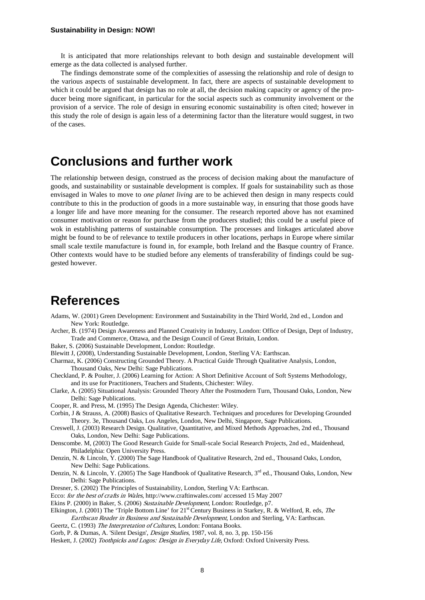It is anticipated that more relationships relevant to both design and sustainable development will emerge as the data collected is analysed further.

The findings demonstrate some of the complexities of assessing the relationship and role of design to the various aspects of sustainable development. In fact, there are aspects of sustainable development to which it could be argued that design has no role at all, the decision making capacity or agency of the producer being more significant, in particular for the social aspects such as community involvement or the provision of a service. The role of design in ensuring economic sustainability is often cited; however in this study the role of design is again less of a determining factor than the literature would suggest, in two of the cases.

### **Conclusions and further work**

The relationship between design, construed as the process of decision making about the manufacture of goods, and sustainability or sustainable development is complex. If goals for sustainability such as those envisaged in Wales to move to *one planet living* are to be achieved then design in many respects could contribute to this in the production of goods in a more sustainable way, in ensuring that those goods have a longer life and have more meaning for the consumer. The research reported above has not examined consumer motivation or reason for purchase from the producers studied; this could be a useful piece of wok in establishing patterns of sustainable consumption. The processes and linkages articulated above might be found to be of relevance to textile producers in other locations, perhaps in Europe where similar small scale textile manufacture is found in, for example, both Ireland and the Basque country of France. Other contexts would have to be studied before any elements of transferability of findings could be suggested however.

### **References**

Adams, W. (2001) Green Development: Environment and Sustainability in the Third World, 2nd ed., London and New York: Routledge.

Archer, B. (1974) Design Awareness and Planned Creativity in Industry, London: Office of Design, Dept of Industry, Trade and Commerce, Ottawa, and the Design Council of Great Britain, London.

Baker, S. (2006) Sustainable Development, London: Routledge.

- Blewitt J, (2008), Understanding Sustainable Development, London, Sterling VA: Earthscan.
- Charmaz, K. (2006) Constructing Grounded Theory. A Practical Guide Through Qualitative Analysis, London, Thousand Oaks, New Delhi: Sage Publications.
- Checkland, P. & Poulter, J. (2006) Learning for Action: A Short Definitive Account of Soft Systems Methodology, and its use for Practitioners, Teachers and Students, Chichester: Wiley.
- Clarke, A. (2005) Situational Analysis: Grounded Theory After the Postmodern Turn, Thousand Oaks, London, New Delhi: Sage Publications.

Cooper, R. and Press, M. (1995) The Design Agenda, Chichester: Wiley.

- Corbin, J & Strauss, A. (2008) Basics of Qualitative Research. Techniques and procedures for Developing Grounded Theory. 3e, Thousand Oaks, Los Angeles, London, New Delhi, Singapore, Sage Publications.
- Creswell, J. (2003) Research Design. Qualitative, Quantitative, and Mixed Methods Approaches, 2nd ed., Thousand Oaks, London, New Delhi: Sage Publications.
- Denscombe. M, (2003) The Good Research Guide for Small-scale Social Research Projects, 2nd ed., Maidenhead, Philadelphia: Open University Press.

Denzin, N. & Lincoln, Y. (2000) The Sage Handbook of Qualitative Research, 2nd ed., Thousand Oaks, London, New Delhi: Sage Publications.

Denzin, N. & Lincoln, Y. (2005) The Sage Handbook of Qualitative Research, 3rd ed., Thousand Oaks, London, New Delhi: Sage Publications.

Dresner, S. (2002) The Principles of Sustainability, London, Sterling VA: Earthscan.

Ecco: for the best of crafts in Wales, http://www.craftinwales.com/ accessed 15 May 2007

Ekins P. (2000) in Baker, S. (2006) Sustainable Development, London: Routledge, p7.

- Elkington, J. (2001) The 'Triple Bottom Line' for  $21<sup>st</sup>$  Century Business in Starkey, R. & Welford, R. eds, The
- Earthscan Reader in Business and Sustainable Development, London and Sterling, VA: Earthscan. Geertz, C. (1993) The Interpretation of Cultures, London: Fontana Books.
- Gorb, P. & Dumas, A. 'Silent Design', Design Studies, 1987, vol. 8, no. 3, pp. 150-156

Heskett, J. (2002) Toothpicks and Logos: Design in Everyday Life, Oxford: Oxford University Press.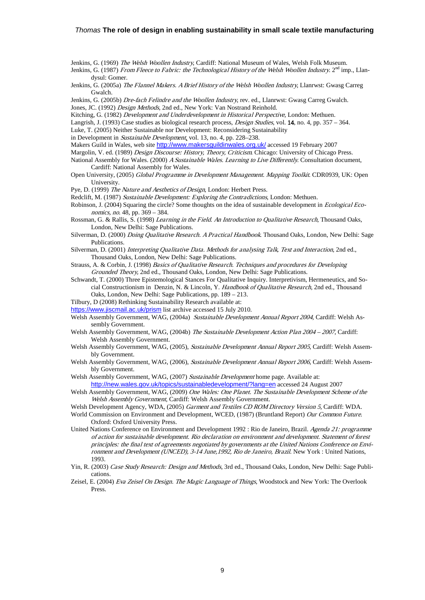Jenkins, G. (1969) The Welsh Woollen Industry, Cardiff: National Museum of Wales, Welsh Folk Museum.

- Jenkins, G. (1987) From Fleece to Fabric: the Technological History of the Welsh Woollen Industry. 2<sup>nd</sup> imp., Llandysul: Gomer.
- Jenkins, G. (2005a) The Flannel Makers. A Brief History of the Welsh Woollen Industry, Llanrwst: Gwasg Carreg Gwalch.
- Jenkins, G. (2005b) Dre-fach Felindre and the Woollen Industry, rev. ed., Llanrwst: Gwasg Carreg Gwalch. Jones, JC. (1992) *Design Methods*, 2nd ed., New York: Van Nostrand Reinhold.
- Kitching, G. (1982) Development and Underdevelopment in Historical Perspective, London: Methuen.
- Langrish, J. (1993) Case studies as biological research process, *Design Studies*, vol. 14, no. 4, pp. 357 364.
- Luke, T. (2005) Neither Sustainable nor Development: Reconsidering Sustainability
- in Development in Sustainable Development, vol. 13, no. 4, pp. 228–238.
- Makers Guild in Wales, web site <http://www.makersguildinwales.org.uk/> accessed 19 February 2007
- Margolin, V. ed. (1989) *Design Discourse: History, Theory, Criticism.* Chicago: University of Chicago Press.
- National Assembly for Wales. (2000) A Sustainable Wales. Learning to Live Differently. Consultation document, Cardiff: National Assembly for Wales.
- Open University, (2005) Global Programme in Development Management. Mapping Toolkit. CDR0939, UK: Open University.
- Pye, D. (1999) The Nature and Aesthetics of Design, London: Herbert Press.

Redclift, M. (1987) Sustainable Development: Exploring the Contradictions, London: Methuen.

- Robinson, J. (2004) Squaring the circle? Some thoughts on the idea of sustainable development in *Ecological Eco*nomics, no. 48, pp. 369 – 384.
- Rossman, G. & Rallis, S. (1998) Learning in the Field. An Introduction to Qualitative Research, Thousand Oaks, London, New Delhi: Sage Publications.
- Silverman, D. (2000) Doing Qualitative Research. A Practical Handbook. Thousand Oaks, London, New Delhi: Sage Publications.
- Silverman, D. (2001) Interpreting Qualitative Data. Methods for analysing Talk, Text and Interaction, 2nd ed., Thousand Oaks, London, New Delhi: Sage Publications.
- Strauss, A. & Corbin, J. (1998) Basics of Qualitative Research. Techniques and procedures for Developing Grounded Theory, 2nd ed., Thousand Oaks, London, New Delhi: Sage Publications.
- Schwandt, T. (2000) Three Epistemological Stances For Qualitative Inquiry. Interpretivism, Hermeneutics, and Social Constructionism in Denzin, N. & Lincoln, Y. Handbook of Qualitative Research, 2nd ed., Thousand Oaks, London, New Delhi: Sage Publications, pp. 189 – 213.

Tilbury, D (2008) Rethinking Sustainability Research available at:

- <https://www.jiscmail.ac.uk/prism> list archive accessed 15 July 2010.
- Welsh Assembly Government, WAG, (2004a) Sustainable Development Annual Report 2004, Cardiff: Welsh Assembly Government.
- Welsh Assembly Government, WAG, (2004b) The Sustainable Development Action Plan 2004 2007, Cardiff: Welsh Assembly Government.
- Welsh Assembly Government, WAG, (2005), Sustainable Development Annual Report 2005, Cardiff: Welsh Assembly Government.
- Welsh Assembly Government, WAG, (2006), Sustainable Development Annual Report 2006, Cardiff: Welsh Assembly Government.
- Welsh Assembly Government, WAG, (2007) Sustainable Development home page. Available at: <http://new.wales.gov.uk/topics/sustainabledevelopment/?lang=en> accessed 24 August 2007
- Welsh Assembly Government, WAG, (2009) One Wales: One Planet. The Sustainable Development Scheme of the Welsh Assembly Government, Cardiff: Welsh Assembly Government.
- Welsh Development Agency, WDA, (2005) Garment and Textiles CD ROM Directory Version 5, Cardiff: WDA.
- World Commission on Environment and Development, WCED, (1987) (Bruntland Report) Our Common Future. Oxford: Oxford University Press.
- United Nations Conference on Environment and Development 1992 : Rio de Janeiro, Brazil. Agenda 21: programme of action for sustainable development. Rio declaration on environment and development. Statement of forest principles: the final text of agreements negotiated by governments at the United Nations Conference on Environment and Development (UNCED), 3-14 June,1992, Rio de Janeiro, Brazil. New York : United Nations, 1993.
- Yin, R. (2003) Case Study Research: Design and Methods, 3rd ed., Thousand Oaks, London, New Delhi: Sage Publications.
- Zeisel, E. (2004) Eva Zeisel On Design. The Magic Language of Things, Woodstock and New York: The Overlook Press.